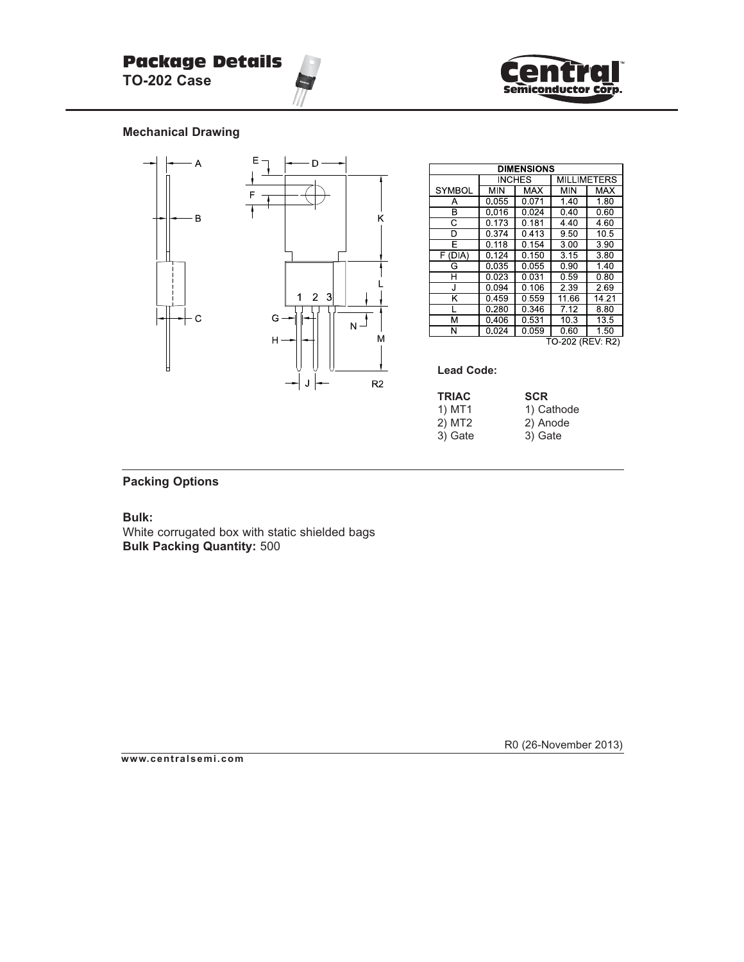

## **Mechanical Drawing**



| <b>DIMENSIONS</b>  |         |                    |                    |            |  |  |
|--------------------|---------|--------------------|--------------------|------------|--|--|
|                    | INCHES  |                    | <b>MILLIMETERS</b> |            |  |  |
| <b>SYMBOL</b>      | MIN     | <b>MAX</b>         | MIN                | <b>MAX</b> |  |  |
| Α                  | 0.055   | 0.071              | 1.40               | 1.80       |  |  |
| B                  | 0.016   | 0.024              | 0.40               | 0.60       |  |  |
| $\overline{\rm c}$ | 0.173   | 0.181              | 4.40               | 4.60       |  |  |
| D                  | 0.374   | 0.413              | 9.50               | 10.5       |  |  |
| Е                  | 0 118   | $\overline{0}$ 154 | 3.00               | 390        |  |  |
| F (DIA)            | 0 1 2 4 | 0.150              | 3.15               | 380        |  |  |
| G                  | 0.035   | 0.055              | 0.90               | 140        |  |  |
| н                  | 0.023   | 0.031              | 0.59               | 0.80       |  |  |
| J                  | 0.094   | 0 106              | 2 3 9              | 269        |  |  |
| Κ                  | 0.459   | 0.559              | 11.66              | 14.21      |  |  |
| L                  | 0.280   | 0.346              | 7.12               | 8.80       |  |  |
| М                  | 0406    | 0.531              | 10 <sub>3</sub>    | 13.5       |  |  |
| Ν                  | 0024    | 0.059              | 0.60               | 1.50       |  |  |
| TO-202 (REV: R2)   |         |                    |                    |            |  |  |

**Lead Code:**

| 1) MT1<br>1) Cathode |  |
|----------------------|--|
| 2) MT2<br>2) Anode   |  |
| 3) Gate<br>3) Gate   |  |

## **Packing Options**

**Bulk:**

White corrugated box with static shielded bags **Bulk Packing Quantity:** 500

R0 (26-November 2013)

**www.centralsemi.com**